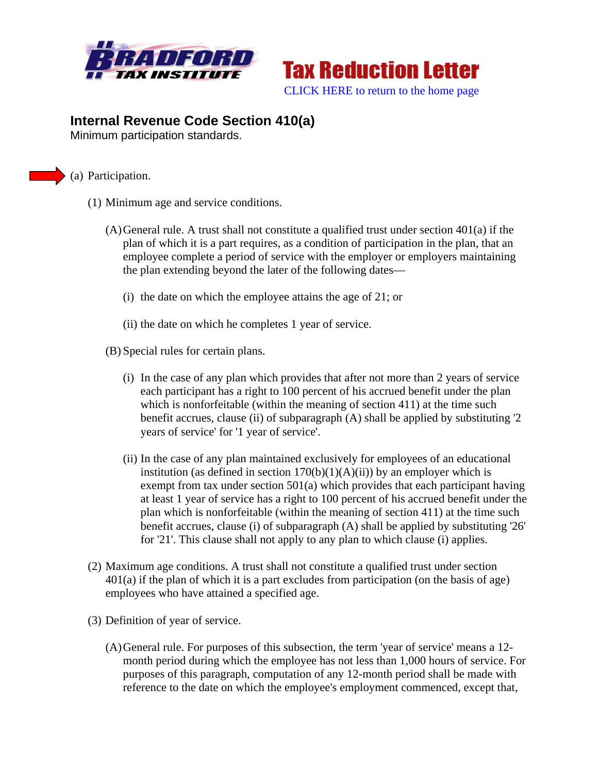



## **Internal Revenue Code Section 410(a)**

Minimum participation standards.

## (a) Participation.

- (1) Minimum age and service conditions.
	- (A)General rule. A trust shall not constitute a qualified trust under section 401(a) if the plan of which it is a part requires, as a condition of participation in the plan, that an employee complete a period of service with the employer or employers maintaining the plan extending beyond the later of the following dates—
		- (i) the date on which the employee attains the age of 21; or
		- (ii) the date on which he completes 1 year of service.
	- (B) Special rules for certain plans.
		- (i) In the case of any plan which provides that after not more than 2 years of service each participant has a right to 100 percent of his accrued benefit under the plan which is nonforfeitable (within the meaning of section 411) at the time such benefit accrues, clause (ii) of subparagraph (A) shall be applied by substituting '2 years of service' for '1 year of service'.
		- (ii) In the case of any plan maintained exclusively for employees of an educational institution (as defined in section  $170(b)(1)(A)(ii)$ ) by an employer which is exempt from tax under section 501(a) which provides that each participant having at least 1 year of service has a right to 100 percent of his accrued benefit under the plan which is nonforfeitable (within the meaning of section 411) at the time such benefit accrues, clause (i) of subparagraph (A) shall be applied by substituting '26' for '21'. This clause shall not apply to any plan to which clause (i) applies.
- (2) Maximum age conditions. A trust shall not constitute a qualified trust under section  $401(a)$  if the plan of which it is a part excludes from participation (on the basis of age) employees who have attained a specified age.
- (3) Definition of year of service.
	- (A)General rule. For purposes of this subsection, the term 'year of service' means a 12 month period during which the employee has not less than 1,000 hours of service. For purposes of this paragraph, computation of any 12-month period shall be made with reference to the date on which the employee's employment commenced, except that,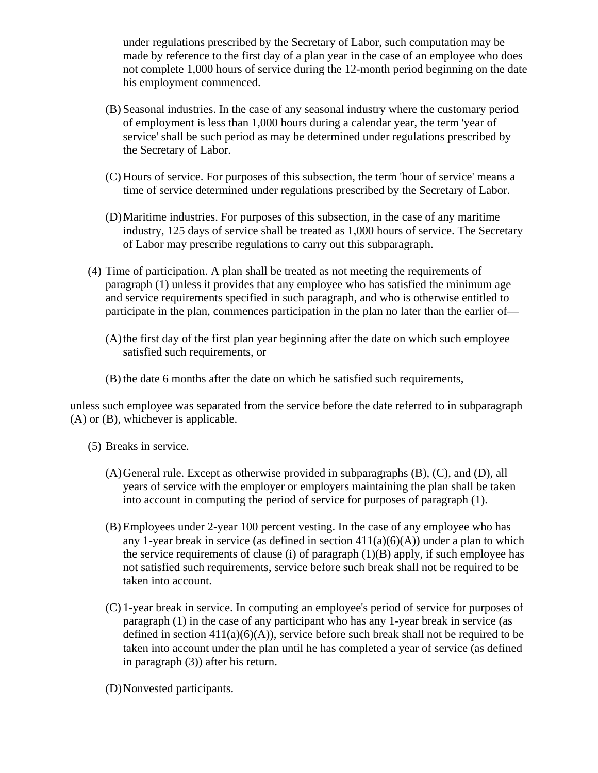under regulations prescribed by the Secretary of Labor, such computation may be made by reference to the first day of a plan year in the case of an employee who does not complete 1,000 hours of service during the 12-month period beginning on the date his employment commenced.

- (B) Seasonal industries. In the case of any seasonal industry where the customary period of employment is less than 1,000 hours during a calendar year, the term 'year of service' shall be such period as may be determined under regulations prescribed by the Secretary of Labor.
- (C) Hours of service. For purposes of this subsection, the term 'hour of service' means a time of service determined under regulations prescribed by the Secretary of Labor.
- (D)Maritime industries. For purposes of this subsection, in the case of any maritime industry, 125 days of service shall be treated as 1,000 hours of service. The Secretary of Labor may prescribe regulations to carry out this subparagraph.
- (4) Time of participation. A plan shall be treated as not meeting the requirements of paragraph (1) unless it provides that any employee who has satisfied the minimum age and service requirements specified in such paragraph, and who is otherwise entitled to participate in the plan, commences participation in the plan no later than the earlier of—
	- (A)the first day of the first plan year beginning after the date on which such employee satisfied such requirements, or
	- (B) the date 6 months after the date on which he satisfied such requirements,

unless such employee was separated from the service before the date referred to in subparagraph (A) or (B), whichever is applicable.

- (5) Breaks in service.
	- (A)General rule. Except as otherwise provided in subparagraphs (B), (C), and (D), all years of service with the employer or employers maintaining the plan shall be taken into account in computing the period of service for purposes of paragraph (1).
	- (B) Employees under 2-year 100 percent vesting. In the case of any employee who has any 1-year break in service (as defined in section  $411(a)(6)(A)$ ) under a plan to which the service requirements of clause (i) of paragraph  $(1)(B)$  apply, if such employee has not satisfied such requirements, service before such break shall not be required to be taken into account.
	- (C) 1-year break in service. In computing an employee's period of service for purposes of paragraph (1) in the case of any participant who has any 1-year break in service (as defined in section  $411(a)(6)(A)$ , service before such break shall not be required to be taken into account under the plan until he has completed a year of service (as defined in paragraph (3)) after his return.
	- (D)Nonvested participants.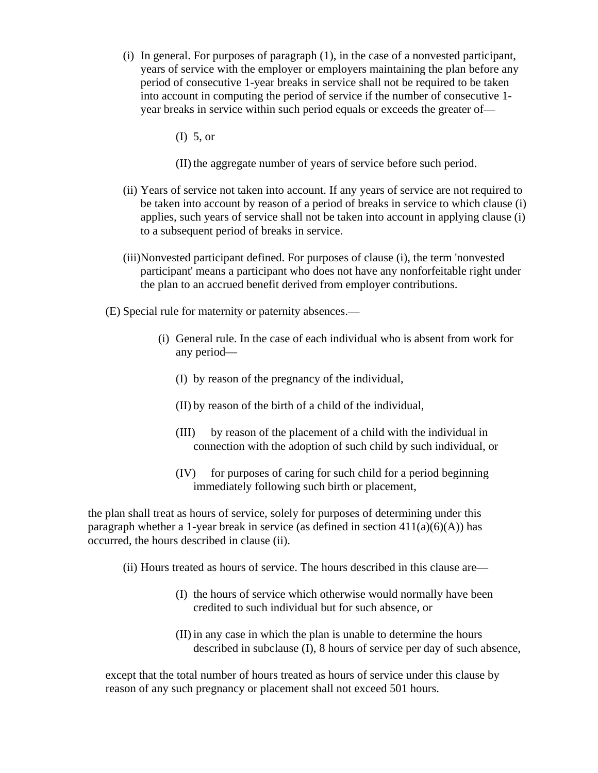- (i) In general. For purposes of paragraph (1), in the case of a nonvested participant, years of service with the employer or employers maintaining the plan before any period of consecutive 1-year breaks in service shall not be required to be taken into account in computing the period of service if the number of consecutive 1 year breaks in service within such period equals or exceeds the greater of—
	- (I) 5, or
	- (II) the aggregate number of years of service before such period.
- (ii) Years of service not taken into account. If any years of service are not required to be taken into account by reason of a period of breaks in service to which clause (i) applies, such years of service shall not be taken into account in applying clause (i) to a subsequent period of breaks in service.
- (iii)Nonvested participant defined. For purposes of clause (i), the term 'nonvested participant' means a participant who does not have any nonforfeitable right under the plan to an accrued benefit derived from employer contributions.
- (E) Special rule for maternity or paternity absences.—
	- (i) General rule. In the case of each individual who is absent from work for any period—
		- (I) by reason of the pregnancy of the individual,
		- (II) by reason of the birth of a child of the individual,
		- (III) by reason of the placement of a child with the individual in connection with the adoption of such child by such individual, or
		- (IV) for purposes of caring for such child for a period beginning immediately following such birth or placement,

the plan shall treat as hours of service, solely for purposes of determining under this paragraph whether a 1-year break in service (as defined in section  $411(a)(6)(A)$ ) has occurred, the hours described in clause (ii).

- (ii) Hours treated as hours of service. The hours described in this clause are—
	- (I) the hours of service which otherwise would normally have been credited to such individual but for such absence, or
	- (II) in any case in which the plan is unable to determine the hours described in subclause (I), 8 hours of service per day of such absence,

except that the total number of hours treated as hours of service under this clause by reason of any such pregnancy or placement shall not exceed 501 hours.